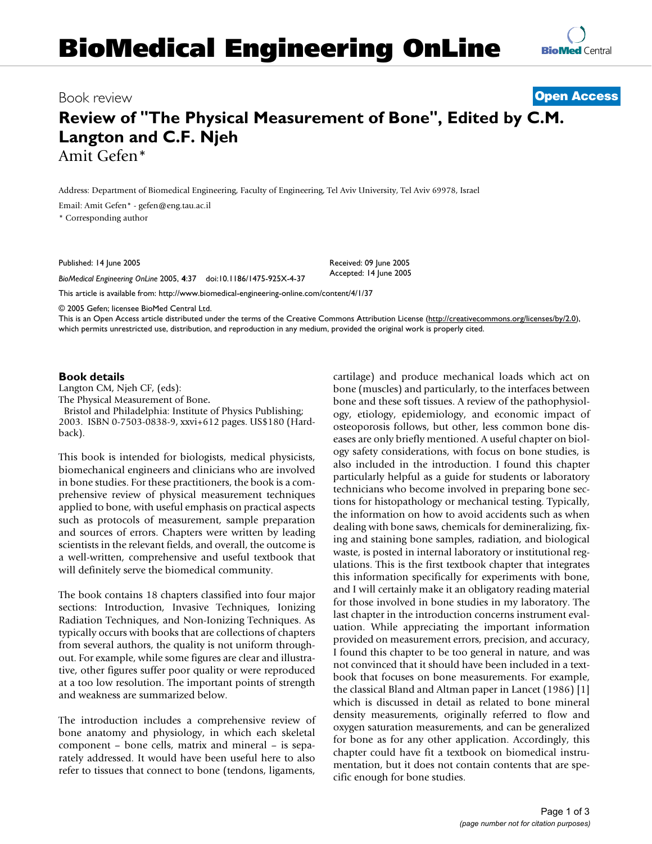# **BioMedical Engineering OnLine**



### Book review **[Open Access](http://www.biomedcentral.com/info/about/charter/)**

## **Review of "The Physical Measurement of Bone", Edited by C.M. Langton and C.F. Njeh** Amit Gefen\*

Address: Department of Biomedical Engineering, Faculty of Engineering, Tel Aviv University, Tel Aviv 69978, Israel

Email: Amit Gefen\* - gefen@eng.tau.ac.il

\* Corresponding author

Published: 14 June 2005

*BioMedical Engineering OnLine* 2005, **4**:37 doi:10.1186/1475-925X-4-37

[This article is available from: http://www.biomedical-engineering-online.com/content/4/1/37](http://www.biomedical-engineering-online.com/content/4/1/37)

© 2005 Gefen; licensee BioMed Central Ltd.

This is an Open Access article distributed under the terms of the Creative Commons Attribution License [\(http://creativecommons.org/licenses/by/2.0\)](http://creativecommons.org/licenses/by/2.0), which permits unrestricted use, distribution, and reproduction in any medium, provided the original work is properly cited.

Received: 09 June 2005 Accepted: 14 June 2005

#### **Book details**

Langton CM, Njeh CF, (eds): The Physical Measurement of Bone**.** Bristol and Philadelphia: Institute of Physics Publishing; 2003. ISBN 0-7503-0838-9, xxvi+612 pages. US\$180 (Hardback).

This book is intended for biologists, medical physicists, biomechanical engineers and clinicians who are involved in bone studies. For these practitioners, the book is a comprehensive review of physical measurement techniques applied to bone, with useful emphasis on practical aspects such as protocols of measurement, sample preparation and sources of errors. Chapters were written by leading scientists in the relevant fields, and overall, the outcome is a well-written, comprehensive and useful textbook that will definitely serve the biomedical community.

The book contains 18 chapters classified into four major sections: Introduction, Invasive Techniques, Ionizing Radiation Techniques, and Non-Ionizing Techniques. As typically occurs with books that are collections of chapters from several authors, the quality is not uniform throughout. For example, while some figures are clear and illustrative, other figures suffer poor quality or were reproduced at a too low resolution. The important points of strength and weakness are summarized below.

The introduction includes a comprehensive review of bone anatomy and physiology, in which each skeletal component – bone cells, matrix and mineral – is separately addressed. It would have been useful here to also refer to tissues that connect to bone (tendons, ligaments,

cartilage) and produce mechanical loads which act on bone (muscles) and particularly, to the interfaces between bone and these soft tissues. A review of the pathophysiology, etiology, epidemiology, and economic impact of osteoporosis follows, but other, less common bone diseases are only briefly mentioned. A useful chapter on biology safety considerations, with focus on bone studies, is also included in the introduction. I found this chapter particularly helpful as a guide for students or laboratory technicians who become involved in preparing bone sections for histopathology or mechanical testing. Typically, the information on how to avoid accidents such as when dealing with bone saws, chemicals for demineralizing, fixing and staining bone samples, radiation, and biological waste, is posted in internal laboratory or institutional regulations. This is the first textbook chapter that integrates this information specifically for experiments with bone, and I will certainly make it an obligatory reading material for those involved in bone studies in my laboratory. The last chapter in the introduction concerns instrument evaluation. While appreciating the important information provided on measurement errors, precision, and accuracy, I found this chapter to be too general in nature, and was not convinced that it should have been included in a textbook that focuses on bone measurements. For example, the classical Bland and Altman paper in Lancet (1986) [1] which is discussed in detail as related to bone mineral density measurements, originally referred to flow and oxygen saturation measurements, and can be generalized for bone as for any other application. Accordingly, this chapter could have fit a textbook on biomedical instrumentation, but it does not contain contents that are specific enough for bone studies.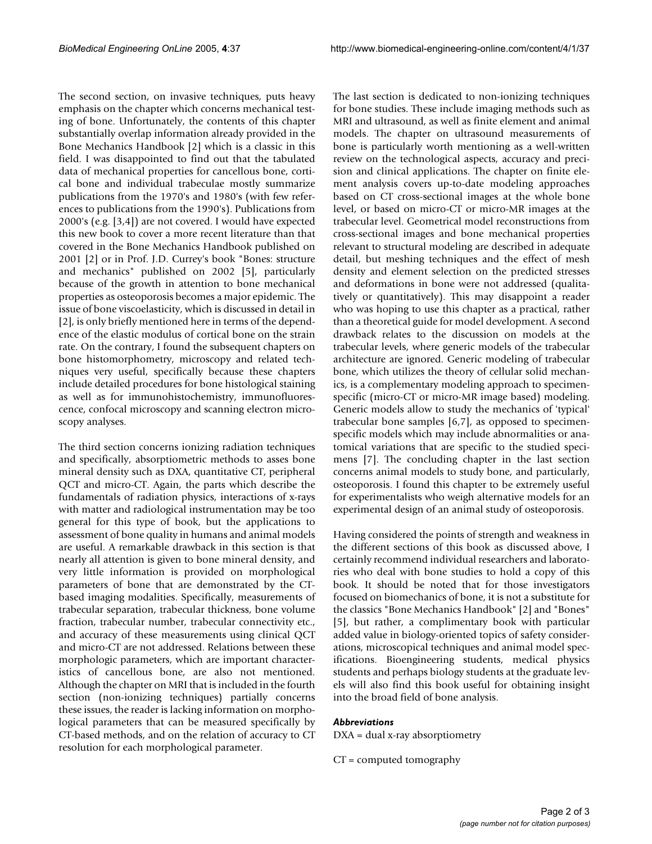The second section, on invasive techniques, puts heavy emphasis on the chapter which concerns mechanical testing of bone. Unfortunately, the contents of this chapter substantially overlap information already provided in the Bone Mechanics Handbook [2] which is a classic in this field. I was disappointed to find out that the tabulated data of mechanical properties for cancellous bone, cortical bone and individual trabeculae mostly summarize publications from the 1970's and 1980's (with few references to publications from the 1990's). Publications from 2000's (e.g. [3,4]) are not covered. I would have expected this new book to cover a more recent literature than that covered in the Bone Mechanics Handbook published on 2001 [2] or in Prof. J.D. Currey's book "Bones: structure and mechanics" published on 2002 [5], particularly because of the growth in attention to bone mechanical properties as osteoporosis becomes a major epidemic. The issue of bone viscoelasticity, which is discussed in detail in [2], is only briefly mentioned here in terms of the dependence of the elastic modulus of cortical bone on the strain rate. On the contrary, I found the subsequent chapters on bone histomorphometry, microscopy and related techniques very useful, specifically because these chapters include detailed procedures for bone histological staining as well as for immunohistochemistry, immunofluorescence, confocal microscopy and scanning electron microscopy analyses.

The third section concerns ionizing radiation techniques and specifically, absorptiometric methods to asses bone mineral density such as DXA, quantitative CT, peripheral QCT and micro-CT. Again, the parts which describe the fundamentals of radiation physics, interactions of x-rays with matter and radiological instrumentation may be too general for this type of book, but the applications to assessment of bone quality in humans and animal models are useful. A remarkable drawback in this section is that nearly all attention is given to bone mineral density, and very little information is provided on morphological parameters of bone that are demonstrated by the CTbased imaging modalities. Specifically, measurements of trabecular separation, trabecular thickness, bone volume fraction, trabecular number, trabecular connectivity etc., and accuracy of these measurements using clinical QCT and micro-CT are not addressed. Relations between these morphologic parameters, which are important characteristics of cancellous bone, are also not mentioned. Although the chapter on MRI that is included in the fourth section (non-ionizing techniques) partially concerns these issues, the reader is lacking information on morphological parameters that can be measured specifically by CT-based methods, and on the relation of accuracy to CT resolution for each morphological parameter.

The last section is dedicated to non-ionizing techniques for bone studies. These include imaging methods such as MRI and ultrasound, as well as finite element and animal models. The chapter on ultrasound measurements of bone is particularly worth mentioning as a well-written review on the technological aspects, accuracy and precision and clinical applications. The chapter on finite element analysis covers up-to-date modeling approaches based on CT cross-sectional images at the whole bone level, or based on micro-CT or micro-MR images at the trabecular level. Geometrical model reconstructions from cross-sectional images and bone mechanical properties relevant to structural modeling are described in adequate detail, but meshing techniques and the effect of mesh density and element selection on the predicted stresses and deformations in bone were not addressed (qualitatively or quantitatively). This may disappoint a reader who was hoping to use this chapter as a practical, rather than a theoretical guide for model development. A second drawback relates to the discussion on models at the trabecular levels, where generic models of the trabecular architecture are ignored. Generic modeling of trabecular bone, which utilizes the theory of cellular solid mechanics, is a complementary modeling approach to specimenspecific (micro-CT or micro-MR image based) modeling. Generic models allow to study the mechanics of 'typical' trabecular bone samples [6,7], as opposed to specimenspecific models which may include abnormalities or anatomical variations that are specific to the studied specimens [7]. The concluding chapter in the last section concerns animal models to study bone, and particularly, osteoporosis. I found this chapter to be extremely useful for experimentalists who weigh alternative models for an experimental design of an animal study of osteoporosis.

Having considered the points of strength and weakness in the different sections of this book as discussed above, I certainly recommend individual researchers and laboratories who deal with bone studies to hold a copy of this book. It should be noted that for those investigators focused on biomechanics of bone, it is not a substitute for the classics "Bone Mechanics Handbook" [2] and "Bones" [5], but rather, a complimentary book with particular added value in biology-oriented topics of safety considerations, microscopical techniques and animal model specifications. Bioengineering students, medical physics students and perhaps biology students at the graduate levels will also find this book useful for obtaining insight into the broad field of bone analysis.

#### *Abbreviations*

DXA = dual x-ray absorptiometry

CT = computed tomography